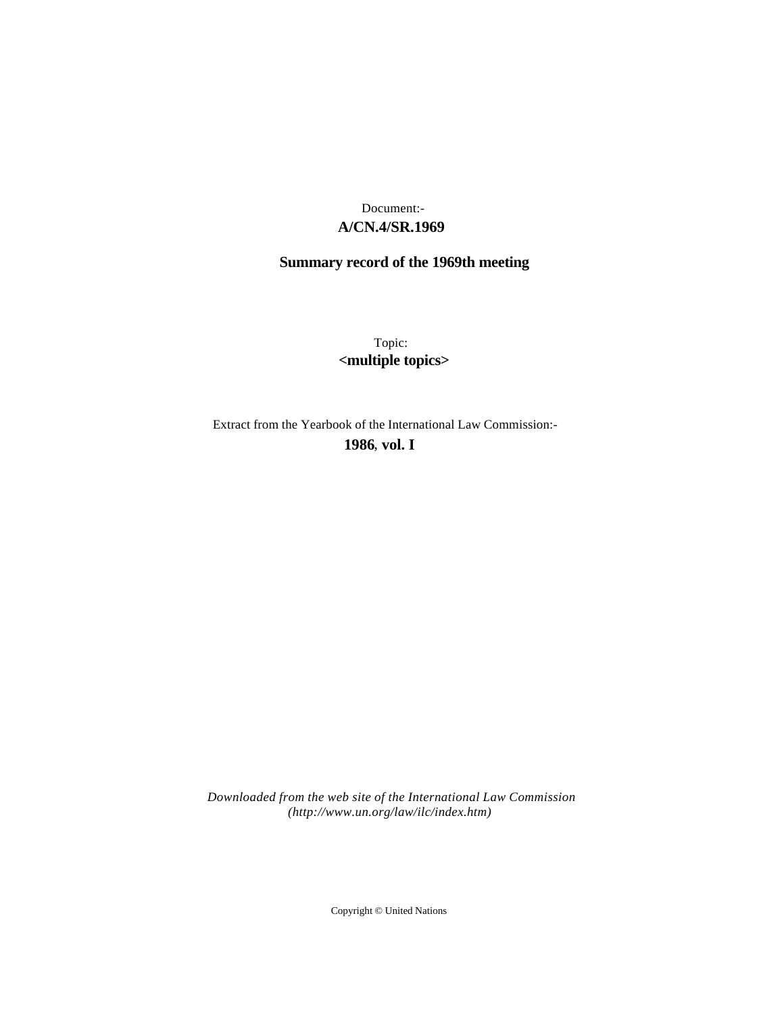# **A/CN.4/SR.1969** Document:-

# **Summary record of the 1969th meeting**

Topic: **<multiple topics>**

Extract from the Yearbook of the International Law Commission:-

**1986** , **vol. I**

*Downloaded from the web site of the International Law Commission (http://www.un.org/law/ilc/index.htm)*

Copyright © United Nations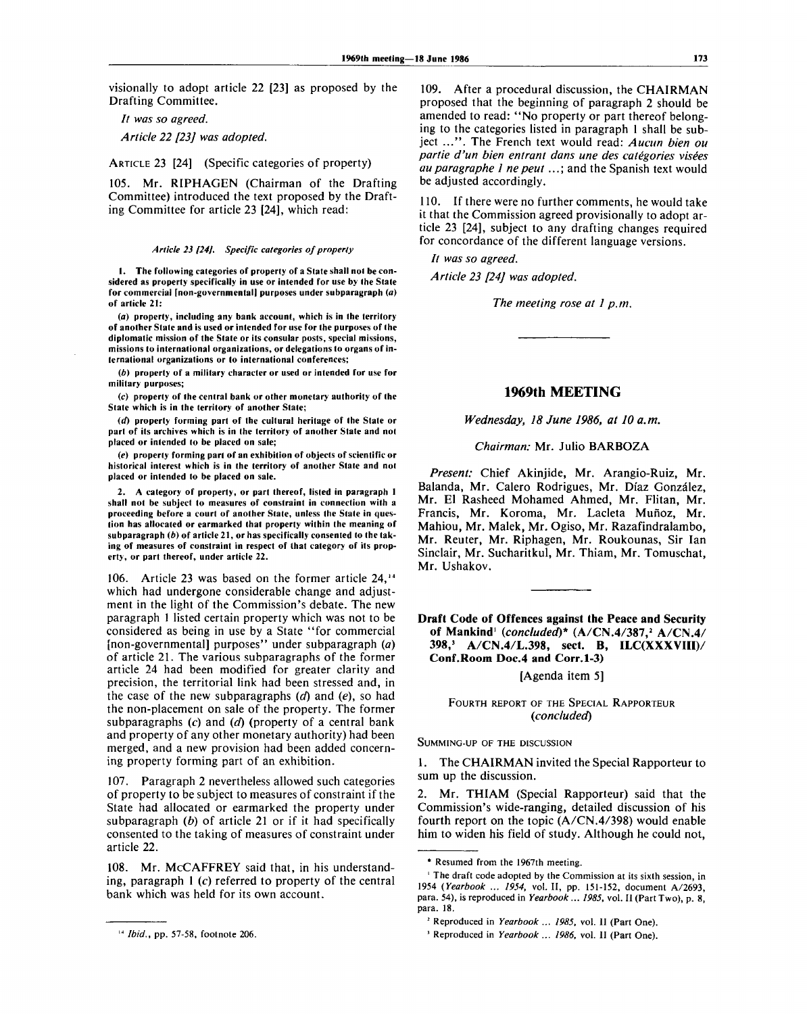visionally to adopt article 22 [23] as proposed by the Drafting Committee.

// *was so agreed. Article 22 [23] was adopted.*

ARTICLE 23 [24] (Specific categories of property)

105. Mr. RIPHAGEN (Chairman of the Drafting Committee) introduced the text proposed by the Drafting Committee for article 23 [24], which read:

## *Article 23 [24]. Specific categories of property*

1. The following categories of property of a State shall not be considered as property specifically in use or intended for use by the State for commercial [non-governmental] purposes under subparagraph (a) of article 21:

(a) property, including any bank account, which is in the territory of another State and is used or intended for use for the purposes of the diplomatic mission of the State or its consular posts, special missions, missions to international organizations, or delegations to organs of international organizations or to international conferences;

*(b)* property of a military character or used or intended for use for military purposes;

(c) property of the central bank or other monetary authority of the State which is in the territory of another State;

*(d)* property forming part of the cultural heritage of the State or part of its archives which is in the territory of another State and not placed or intended to be placed on sale;

*(e)* property forming part of an exhibition of objects of scientific or historical interest which is in the territory of another State and not placed or intended to be placed on sale.

2. A category of property, or part thereof, listed in paragraph 1 shall not be subject to measures of constraint in connection with a proceeding before a court of another State, unless the State in question has allocated or earmarked that property within the meaning of subparagraph *(b)* of article 21, or has specifically consented to the taking of measures of constraint in respect of that category of its property, or part thereof, under article 22.

106. Article 23 was based on the former article  $24$ ,<sup>14</sup> which had undergone considerable change and adjustment in the light of the Commission's debate. The new paragraph 1 listed certain property which was not to be considered as being in use by a State "for commercial [non-governmental] purposes" under subparagraph *(a)* of article 21. The various subparagraphs of the former article 24 had been modified for greater clarity and precision, the territorial link had been stressed and, in the case of the new subparagraphs *(d)* and *(e),* so had the non-placement on sale of the property. The former subparagraphs (c) and *(d)* (property of a central bank and property of any other monetary authority) had been merged, and a new provision had been added concerning property forming part of an exhibition.

107. Paragraph 2 nevertheless allowed such categories of property to be subject to measures of constraint if the State had allocated or earmarked the property under subparagraph *(b)* of article 21 or if it had specifically consented to the taking of measures of constraint under article 22.

108. Mr. McCAFFREY said that, in his understanding, paragraph  $\alpha$  (c) referred to property of the central bank which was held for its own account.

109. After a procedural discussion, the CHAIRMAN proposed that the beginning of paragraph 2 should be amended to read: "No property or part thereof belonging to the categories listed in paragraph 1 shall be subject ...". The French text would read: *Aucun bien ou partie d'un bien entrant dans une des categories visees au paragraphe 1 ne peut* ...; and the Spanish text would be adjusted accordingly.

110. If there were no further comments, he would take it that the Commission agreed provisionally to adopt article 23 [24], subject to any drafting changes required for concordance of the different language versions.

// *was so agreed.*

*Article 23 [24] was adopted.*

*The meeting rose at 1 p.m.*

# **1969th MEETING**

# *Wednesday, 18 June 1986, at 10 a.m.*

*Chairman:* Mr. Julio BARBOZA

*Present:* Chief Akinjide, Mr. Arangio-Ruiz, Mr. Balanda, Mr. Calero Rodrigues, Mr. Diaz Gonzalez, Mr. El Rasheed Mohamed Ahmed, Mr. Flitan, Mr. Francis, Mr. Koroma, Mr. Lacleta Mufioz, Mr. Mahiou, Mr. Malek, Mr. Ogiso, Mr. Razafindralambo, Mr. Reuter, Mr. Riphagen, Mr. Roukounas, Sir Ian Sinclair, Mr. Sucharitkul, Mr. Thiam, Mr. Tomuschat, Mr. Ushakov.

**Draft Code of Offences against the Peace and Security of Mankind'** *(concluded)\** **(A/CN.4/387,<sup>2</sup> A/CN.4/ 398,<sup>3</sup> A/CN.4/L.398, sect. B, ILC(XXXVIII)/ Conf.Room Doc.4 and Corr.1-3)**

[Agenda item 5]

FOURTH REPORT OF THE SPECIAL RAPPORTEUR *(concluded)*

SUMMING-UP OF THE DISCUSSION

1. The CHAIRMAN invited the Special Rapporteur to sum up the discussion.

2. Mr. THIAM (Special Rapporteur) said that the Commission's wide-ranging, detailed discussion of his fourth report on the topic (A/CN.4/398) would enable him to widen his field of study. Although he could not,

<sup>14</sup>  *Ibid.,* pp. 57-58, footnote 206.

<sup>\*</sup> Resumed from the 1967th meeting.

<sup>&</sup>lt;sup>1</sup> The draft code adopted by the Commission at its sixth session, in 1954 *{Yearbook ... 1954,* vol. II, pp. 151-152, document A/2693, para. 54), is reproduced in *Yearbook... 1985,* vol. II (Part Two), p. 8, para. 18.

<sup>2</sup> Reproduced in *Yearbook* ... *1985,* vol. II (Part One).

<sup>&</sup>lt;sup>3</sup> Reproduced in Yearbook ... 1986, vol. II (Part One).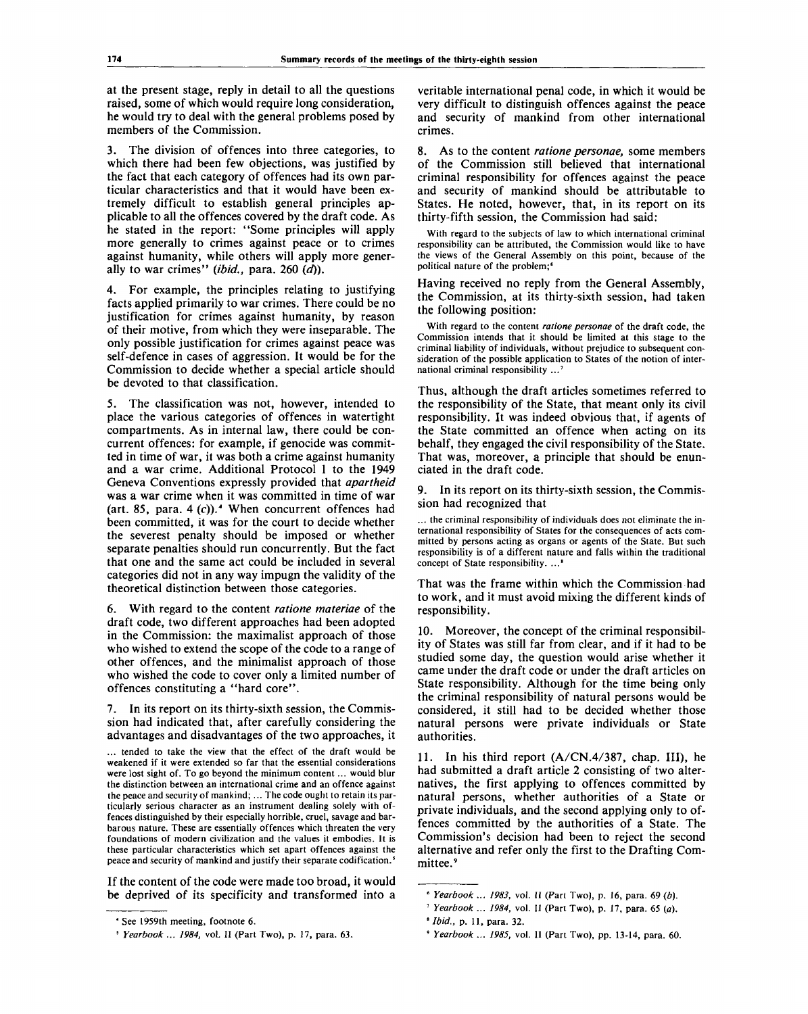at the present stage, reply in detail to all the questions raised, some of which would require long consideration, he would try to deal with the general problems posed by members of the Commission.

3. The division of offences into three categories, to which there had been few objections, was justified by the fact that each category of offences had its own particular characteristics and that it would have been extremely difficult to establish general principles applicable to all the offences covered by the draft code. As he stated in the report: "Some principles will apply more generally to crimes against peace or to crimes against humanity, while others will apply more generally to war crimes" *(ibid.,* para. 260 *(d)).*

4. For example, the principles relating to justifying facts applied primarily to war crimes. There could be no justification for crimes against humanity, by reason of their motive, from which they were inseparable. The only possible justification for crimes against peace was self-defence in cases of aggression. It would be for the Commission to decide whether a special article should be devoted to that classification.

5. The classification was not, however, intended to place the various categories of offences in watertight compartments. As in internal law, there could be concurrent offences: for example, if genocide was committed in time of war, it was both a crime against humanity and a war crime. Additional Protocol I to the 1949 Geneva Conventions expressly provided that *apartheid* was a war crime when it was committed in time of war (art. 85, para. 4  $(c)$ ).<sup>4</sup> When concurrent offences had been committed, it was for the court to decide whether the severest penalty should be imposed or whether separate penalties should run concurrently. But the fact that one and the same act could be included in several categories did not in any way impugn the validity of the theoretical distinction between those categories.

6. With regard to the content *ratione materiae* of the draft code, two different approaches had been adopted in the Commission: the maximalist approach of those who wished to extend the scope of the code to a range of other offences, and the minimalist approach of those who wished the code to cover only a limited number of offences constituting a "hard core".

In its report on its thirty-sixth session, the Commission had indicated that, after carefully considering the advantages and disadvantages of the two approaches, it

... tended to take the view that the effect of the draft would be weakened if it were extended so far that the essential considerations were lost sight of. To go beyond the minimum content ... would blur the distinction between an international crime and an offence against the peace and security of mankind; ... The code ought to retain its particularly serious character as an instrument dealing solely with offences distinguished by their especially horrible, cruel, savage and barbarous nature. These are essentially offences which threaten the very foundations of modern civilization and the values it embodies. It is these particular characteristics which set apart offences against the peace and security of mankind and justify their separate codification.<sup>5</sup>

If the content of the code were made too broad, it would be deprived of its specificity and transformed into a

veritable international penal code, in which it would be very difficult to distinguish offences against the peace and security of mankind from other international crimes.

8. As to the content *ratione personae,* some members of the Commission still believed that international criminal responsibility for offences against the peace and security of mankind should be attributable to States. He noted, however, that, in its report on its thirty-fifth session, the Commission had said:

With regard to the subjects of law to which international criminal responsibility can be attributed, the Commission would like to have the views of the General Assembly on this point, because of the political nature of the problem;<sup>6</sup>

Having received no reply from the General Assembly, the Commission, at its thirty-sixth session, had taken the following position:

With regard to the content *ratione personae* of the draft code, the Commission intends that it should be limited at this stage to the criminal liability of individuals, without prejudice to subsequent consideration of the possible application to States of the notion of international criminal responsibility ...<sup>3</sup>

Thus, although the draft articles sometimes referred to the responsibility of the State, that meant only its civil responsibility. It was indeed obvious that, if agents of the State committed an offence when acting on its behalf, they engaged the civil responsibility of the State. That was, moreover, a principle that should be enunciated in the draft code.

9. In its report on its thirty-sixth session, the Commission had recognized that

... the criminal responsibility of individuals does not eliminate the international responsibility of States for the consequences of acts committed by persons acting as organs or agents of the State. But such responsibility is of a different nature and falls within the traditional concept of State responsibility. ...<sup>4</sup>

That was the frame within which the Commission had to work, and it must avoid mixing the different kinds of responsibility.

10. Moreover, the concept of the criminal responsibility of States was still far from clear, and if it had to be studied some day, the question would arise whether it came under the draft code or under the draft articles on State responsibility. Although for the time being only the criminal responsibility of natural persons would be considered, it still had to be decided whether those natural persons were private individuals or State authorities.

11. In his third report (A/CN.4/387, chap. Ill), he had submitted a draft article 2 consisting of two alternatives, the first applying to offences committed by natural persons, whether authorities of a State or private individuals, and the second applying only to offences committed by the authorities of a State. The Commission's decision had been to reject the second alternative and refer only the first to the Drafting Committee.<sup>9</sup>

<sup>4</sup> See 1959th meeting, footnote 6.

<sup>5</sup>  *Yearbook ... 1984,* vol. II (Part Two), p. 17, para. 63.

<sup>6</sup>  *Yearbook ... 1983,* vol. II (Part Two), p. 16, para. 69 *(b).*

<sup>7</sup>  *Yearbook ... 1984,* vol. II (Part Two), p. 17, para. 65 *(a).*

*<sup>&#</sup>x27;Ibid.,* p. 11, para. 32.

<sup>9</sup>  *Yearbook ... 1985,* vol. II (Part Two), pp. 13-14, para. 60.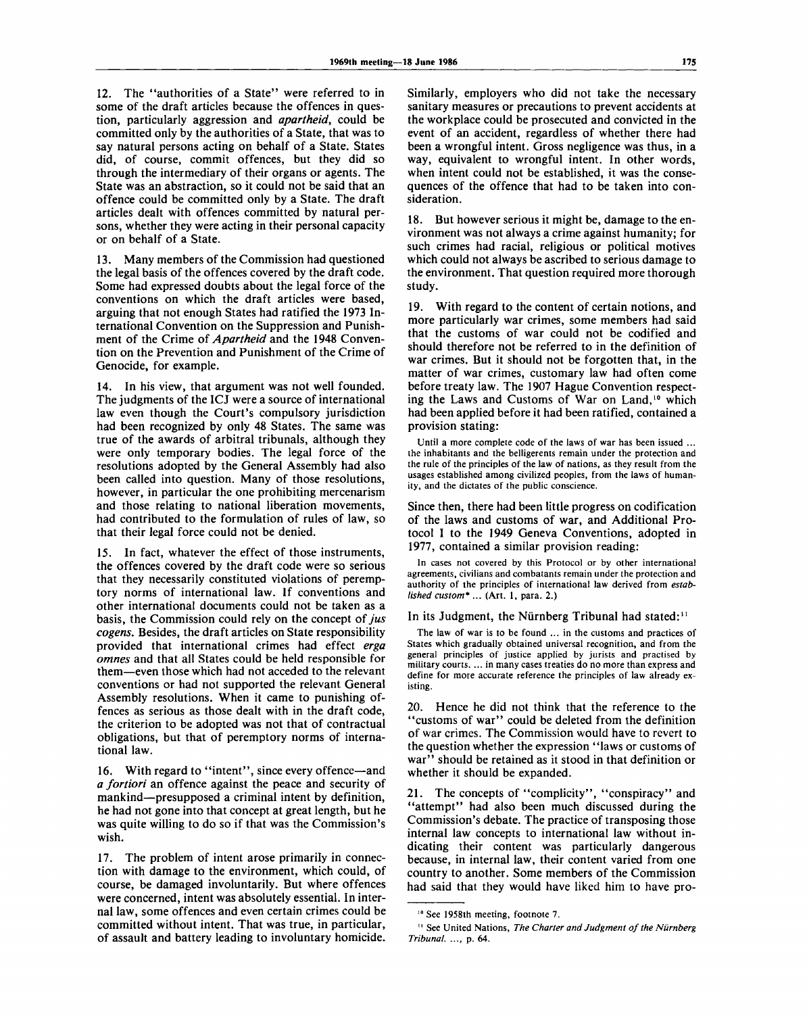12. The "authorities of a State" were referred to in some of the draft articles because the offences in question, particularly aggression and *apartheid,* could be committed only by the authorities of a State, that was to say natural persons acting on behalf of a State. States did, of course, commit offences, but they did so through the intermediary of their organs or agents. The State was an abstraction, so it could not be said that an offence could be committed only by a State. The draft articles dealt with offences committed by natural persons, whether they were acting in their personal capacity or on behalf of a State.

13. Many members of the Commission had questioned the legal basis of the offences covered by the draft code. Some had expressed doubts about the legal force of the conventions on which the draft articles were based, arguing that not enough States had ratified the 1973 International Convention on the Suppression and Punishment of the Crime *of Apartheid* and the 1948 Convention on the Prevention and Punishment of the Crime of Genocide, for example.

14. In his view, that argument was not well founded. The judgments of the ICJ were a source of international law even though the Court's compulsory jurisdiction had been recognized by only 48 States. The same was true of the awards of arbitral tribunals, although they were only temporary bodies. The legal force of the resolutions adopted by the General Assembly had also been called into question. Many of those resolutions, however, in particular the one prohibiting mercenarism and those relating to national liberation movements, had contributed to the formulation of rules of law, so that their legal force could not be denied.

15. In fact, whatever the effect of those instruments, the offences covered by the draft code were so serious that they necessarily constituted violations of peremptory norms of international law. If conventions and other international documents could not be taken as a basis, the Commission could rely on the concept of *jus cogens.* Besides, the draft articles on State responsibility provided that international crimes had effect *erga omnes* and that all States could be held responsible for them—even those which had not acceded to the relevant conventions or had not supported the relevant General Assembly resolutions. When it came to punishing offences as serious as those dealt with in the draft code, the criterion to be adopted was not that of contractual obligations, but that of peremptory norms of international law.

16. With regard to "intent", since every offence—and *a fortiori* an offence against the peace and security of mankind—presupposed a criminal intent by definition, he had not gone into that concept at great length, but he was quite willing to do so if that was the Commission's wish.

17. The problem of intent arose primarily in connection with damage to the environment, which could, of course, be damaged involuntarily. But where offences were concerned, intent was absolutely essential. In internal law, some offences and even certain crimes could be committed without intent. That was true, in particular, of assault and battery leading to involuntary homicide. Similarly, employers who did not take the necessary sanitary measures or precautions to prevent accidents at the workplace could be prosecuted and convicted in the event of an accident, regardless of whether there had been a wrongful intent. Gross negligence was thus, in a way, equivalent to wrongful intent. In other words, when intent could not be established, it was the consequences of the offence that had to be taken into consideration.

18. But however serious it might be, damage to the environment was not always a crime against humanity; for such crimes had racial, religious or political motives which could not always be ascribed to serious damage to the environment. That question required more thorough study.

19. With regard to the content of certain notions, and more particularly war crimes, some members had said that the customs of war could not be codified and should therefore not be referred to in the definition of war crimes. But it should not be forgotten that, in the matter of war crimes, customary law had often come before treaty law. The 1907 Hague Convention respecting the Laws and Customs of War on Land,<sup>10</sup> which had been applied before it had been ratified, contained a provision stating:

Until a more complete code of the laws of war has been issued ... the inhabitants and the belligerents remain under the protection and the rule of the principles of the law of nations, as they result from the usages established among civilized peoples, from the laws of humanity, and the dictates of the public conscience.

Since then, there had been little progress on codification of the laws and customs of war, and Additional Protocol I to the 1949 Geneva Conventions, adopted in 1977, contained a similar provision reading:

In cases not covered by this Protocol or by other international agreements, civilians and combatants remain under the protection and authority of the principles of international law derived from *established custom\* ...* (Art. 1, para. 2.)

# In its Judgment, the Nürnberg Tribunal had stated:<sup>11</sup>

The law of war is to be found ... in the customs and practices of States which gradually obtained universal recognition, and from the general principles of justice applied by jurists and practised by military courts. ... in many cases treaties do no more than express and define for more accurate reference the principles of law already existing.

20. Hence he did not think that the reference to the "customs of war" could be deleted from the definition of war crimes. The Commission would have to revert to the question whether the expression "laws or customs of war" should be retained as it stood in that definition or whether it should be expanded.

21. The concepts of "complicity", "conspiracy" and "attempt" had also been much discussed during the Commission's debate. The practice of transposing those internal law concepts to international law without indicating their content was particularly dangerous because, in internal law, their content varied from one country to another. Some members of the Commission had said that they would have liked him to have pro-

<sup>10</sup> See 1958th meeting, footnote 7.

<sup>&</sup>lt;sup>11</sup> See United Nations, The Charter and Judgment of the Nürnberg *Tribunal. ....* p. 64.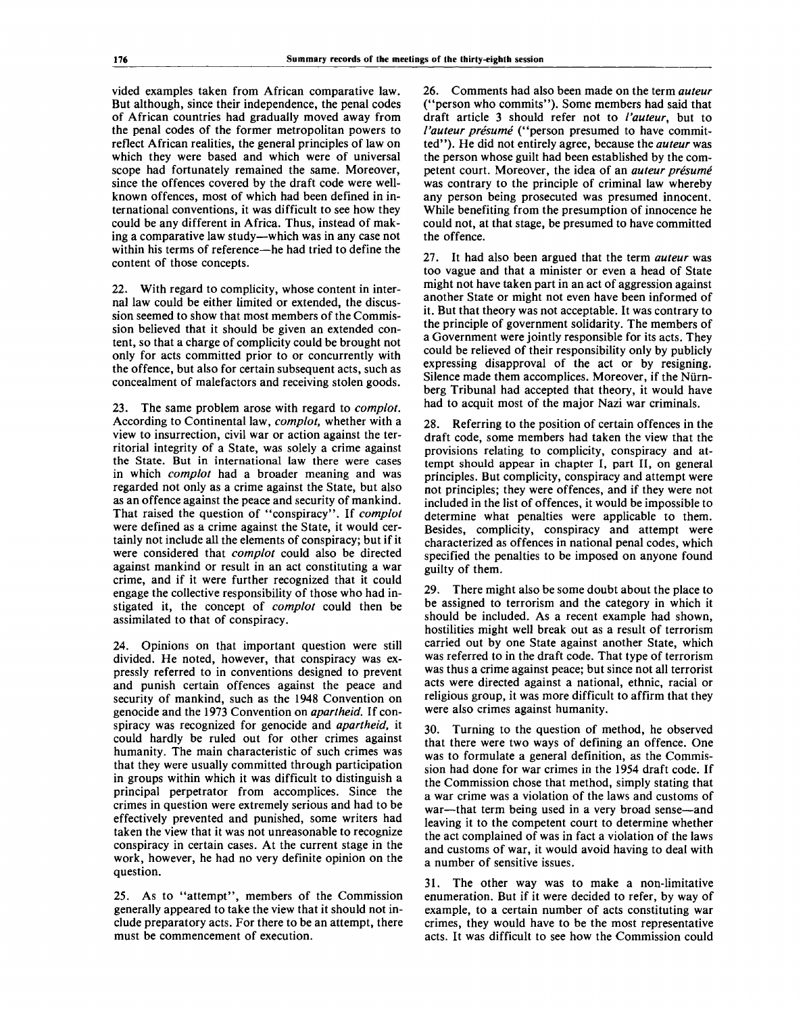vided examples taken from African comparative law. But although, since their independence, the penal codes of African countries had gradually moved away from the penal codes of the former metropolitan powers to reflect African realities, the general principles of law on which they were based and which were of universal scope had fortunately remained the same. Moreover, since the offences covered by the draft code were wellknown offences, most of which had been defined in international conventions, it was difficult to see how they could be any different in Africa. Thus, instead of making a comparative law study—which was in any case not within his terms of reference—he had tried to define the content of those concepts.

22. With regard to complicity, whose content in internal law could be either limited or extended, the discussion seemed to show that most members of the Commission believed that it should be given an extended content, so that a charge of complicity could be brought not only for acts committed prior to or concurrently with the offence, but also for certain subsequent acts, such as concealment of malefactors and receiving stolen goods.

23. The same problem arose with regard to *complot.* According to Continental law, *complot,* whether with a view to insurrection, civil war or action against the territorial integrity of a State, was solely a crime against the State. But in international law there were cases in which *complot* had a broader meaning and was regarded not only as a crime against the State, but also as an offence against the peace and security of mankind. That raised the question of "conspiracy". If *complot* were defined as a crime against the State, it would certainly not include all the elements of conspiracy; but if it were considered that *complot* could also be directed against mankind or result in an act constituting a war crime, and if it were further recognized that it could engage the collective responsibility of those who had instigated it, the concept of *complot* could then be assimilated to that of conspiracy.

24. Opinions on that important question were still divided. He noted, however, that conspiracy was expressly referred to in conventions designed to prevent and punish certain offences against the peace and security of mankind, such as the 1948 Convention on genocide and the 1973 Convention on *apartheid.* If conspiracy was recognized for genocide and *apartheid,* it could hardly be ruled out for other crimes against humanity. The main characteristic of such crimes was that they were usually committed through participation in groups within which it was difficult to distinguish a principal perpetrator from accomplices. Since the crimes in question were extremely serious and had to be effectively prevented and punished, some writers had taken the view that it was not unreasonable to recognize conspiracy in certain cases. At the current stage in the work, however, he had no very definite opinion on the question.

25. As to "attempt", members of the Commission generally appeared to take the view that it should not include preparatory acts. For there to be an attempt, there must be commencement of execution.

26. Comments had also been made on the term *auteur* ("person who commits"). Some members had said that draft article 3 should refer not to *I'auteur,* but to *Vauteur presume* ("person presumed to have committed"). He did not entirely agree, because the *auteur* was the person whose guilt had been established by the competent court. Moreover, the idea of an *auteur presume* was contrary to the principle of criminal law whereby any person being prosecuted was presumed innocent. While benefiting from the presumption of innocence he could not, at that stage, be presumed to have committed the offence.

27. It had also been argued that the term *auteur* was too vague and that a minister or even a head of State might not have taken part in an act of aggression against another State or might not even have been informed of it. But that theory was not acceptable. It was contrary to the principle of government solidarity. The members of a Government were jointly responsible for its acts. They could be relieved of their responsibility only by publicly expressing disapproval of the act or by resigning. Silence made them accomplices. Moreover, if the Niirnberg Tribunal had accepted that theory, it would have had to acquit most of the major Nazi war criminals.

28. Referring to the position of certain offences in the draft code, some members had taken the view that the provisions relating to complicity, conspiracy and attempt should appear in chapter I, part II, on general principles. But complicity, conspiracy and attempt were not principles; they were offences, and if they were not included in the list of offences, it would be impossible to determine what penalties were applicable to them. Besides, complicity, conspiracy and attempt were characterized as offences in national penal codes, which specified the penalties to be imposed on anyone found guilty of them.

29. There might also be some doubt about the place to be assigned to terrorism and the category in which it should be included. As a recent example had shown, hostilities might well break out as a result of terrorism carried out by one State against another State, which was referred to in the draft code. That type of terrorism was thus a crime against peace; but since not all terrorist acts were directed against a national, ethnic, racial or religious group, it was more difficult to affirm that they were also crimes against humanity.

Turning to the question of method, he observed that there were two ways of defining an offence. One was to formulate a general definition, as the Commission had done for war crimes in the 1954 draft code. If the Commission chose that method, simply stating that a war crime was a violation of the laws and customs of war—that term being used in a very broad sense—and leaving it to the competent court to determine whether the act complained of was in fact a violation of the laws and customs of war, it would avoid having to deal with a number of sensitive issues.

31. The other way was to make a non-limitative enumeration. But if it were decided to refer, by way of example, to a certain number of acts constituting war crimes, they would have to be the most representative acts. It was difficult to see how the Commission could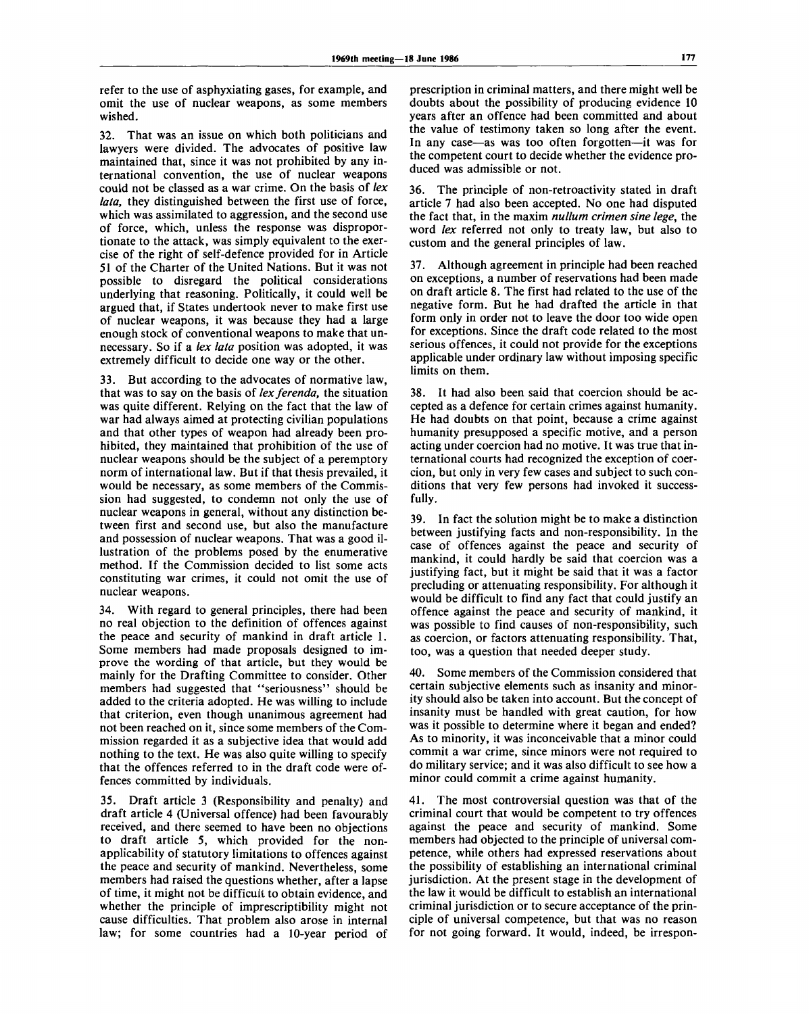refer to the use of asphyxiating gases, for example, and omit the use of nuclear weapons, as some members wished.

32. That was an issue on which both politicians and lawyers were divided. The advocates of positive law maintained that, since it was not prohibited by any international convention, the use of nuclear weapons could not be classed as a war crime. On the basis of *lex lata,* they distinguished between the first use of force, which was assimilated to aggression, and the second use of force, which, unless the response was disproportionate to the attack, was simply equivalent to the exercise of the right of self-defence provided for in Article 51 of the Charter of the United Nations. But it was not possible to disregard the political considerations underlying that reasoning. Politically, it could well be argued that, if States undertook never to make first use of nuclear weapons, it was because they had a large enough stock of conventional weapons to make that unnecessary. So if a *lex lata* position was adopted, it was extremely difficult to decide one way or the other.

33. But according to the advocates of normative law, that was to say on the basis of *lex ferenda,* the situation was quite different. Relying on the fact that the law of war had always aimed at protecting civilian populations and that other types of weapon had already been prohibited, they maintained that prohibition of the use of nuclear weapons should be the subject of a peremptory norm of international law. But if that thesis prevailed, it would be necessary, as some members of the Commission had suggested, to condemn not only the use of nuclear weapons in general, without any distinction between first and second use, but also the manufacture and possession of nuclear weapons. That was a good illustration of the problems posed by the enumerative method. If the Commission decided to list some acts constituting war crimes, it could not omit the use of nuclear weapons.

34. With regard to general principles, there had been no real objection to the definition of offences against the peace and security of mankind in draft article 1. Some members had made proposals designed to improve the wording of that article, but they would be mainly for the Drafting Committee to consider. Other members had suggested that "seriousness" should be added to the criteria adopted. He was willing to include that criterion, even though unanimous agreement had not been reached on it, since some members of the Commission regarded it as a subjective idea that would add nothing to the text. He was also quite willing to specify that the offences referred to in the draft code were offences committed by individuals.

Draft article 3 (Responsibility and penalty) and draft article 4 (Universal offence) had been favourably received, and there seemed to have been no objections to draft article 5, which provided for the nonapplicability of statutory limitations to offences against the peace and security of mankind. Nevertheless, some members had raised the questions whether, after a lapse of time, it might not be difficult to obtain evidence, and whether the principle of imprescriptibility might not cause difficulties. That problem also arose in internal law; for some countries had a 10-year period of prescription in criminal matters, and there might well be doubts about the possibility of producing evidence 10 years after an offence had been committed and about the value of testimony taken so long after the event. In any case—as was too often forgotten—it was for the competent court to decide whether the evidence produced was admissible or not.

36. The principle of non-retroactivity stated in draft article 7 had also been accepted. No one had disputed the fact that, in the maxim *nullum crimen sine lege,* the word *lex* referred not only to treaty law, but also to custom and the general principles of law.

37. Although agreement in principle had been reached on exceptions, a number of reservations had been made on draft article 8. The first had related to the use of the negative form. But he had drafted the article in that form only in order not to leave the door too wide open for exceptions. Since the draft code related to the most serious offences, it could not provide for the exceptions applicable under ordinary law without imposing specific limits on them.

38. It had also been said that coercion should be accepted as a defence for certain crimes against humanity. He had doubts on that point, because a crime against humanity presupposed a specific motive, and a person acting under coercion had no motive. It was true that international courts had recognized the exception of coercion, but only in very few cases and subject to such conditions that very few persons had invoked it successfully.

39. In fact the solution might be to make a distinction between justifying facts and non-responsibility. In the case of offences against the peace and security of mankind, it could hardly be said that coercion was a justifying fact, but it might be said that it was a factor precluding or attenuating responsibility. For although it would be difficult to find any fact that could justify an offence against the peace and security of mankind, it was possible to find causes of non-responsibility, such as coercion, or factors attenuating responsibility. That, too, was a question that needed deeper study.

40. Some members of the Commission considered that certain subjective elements such as insanity and minority should also be taken into account. But the concept of insanity must be handled with great caution, for how was it possible to determine where it began and ended? As to minority, it was inconceivable that a minor could commit a war crime, since minors were not required to do military service; and it was also difficult to see how a minor could commit a crime against humanity.

41. The most controversial question was that of the criminal court that would be competent to try offences against the peace and security of mankind. Some members had objected to the principle of universal competence, while others had expressed reservations about the possibility of establishing an international criminal jurisdiction. At the present stage in the development of the law it would be difficult to establish an international criminal jurisdiction or to secure acceptance of the principle of universal competence, but that was no reason for not going forward. It would, indeed, be irrespon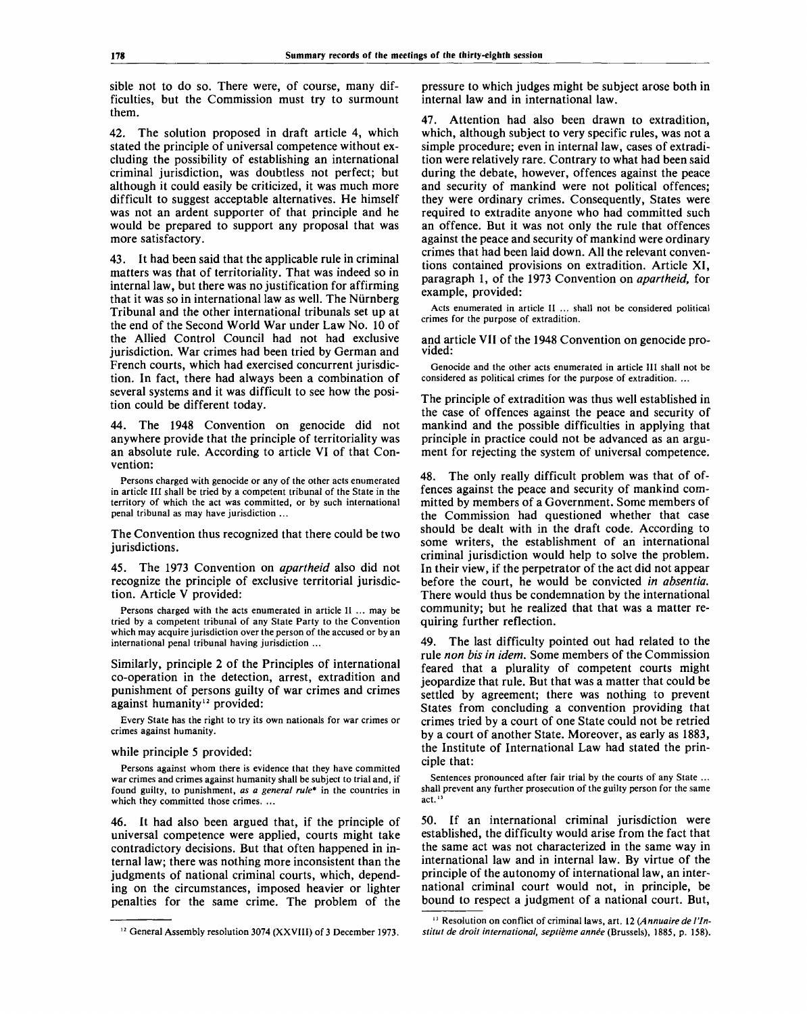sible not to do so. There were, of course, many difficulties, but the Commission must try to surmount them.

42. The solution proposed in draft article 4, which stated the principle of universal competence without excluding the possibility of establishing an international criminal jurisdiction, was doubtless not perfect; but although it could easily be criticized, it was much more difficult to suggest acceptable alternatives. He himself was not an ardent supporter of that principle and he would be prepared to support any proposal that was more satisfactory.

43. It had been said that the applicable rule in criminal matters was that of territoriality. That was indeed so in internal law, but there was no justification for affirming that it was so in international law as well. The Niirnberg Tribunal and the other international tribunals set up at the end of the Second World War under Law No. 10 of the Allied Control Council had not had exclusive jurisdiction. War crimes had been tried by German and French courts, which had exercised concurrent jurisdiction. In fact, there had always been a combination of several systems and it was difficult to see how the position could be different today.

44. The 1948 Convention on genocide did not anywhere provide that the principle of territoriality was an absolute rule. According to article VI of that Convention:

Persons charged with genocide or any of the other acts enumerated in article III shall be tried by a competent tribunal of the State in the territory of which the act was committed, or by such international penal tribunal as may have jurisdiction ...

The Convention thus recognized that there could be two jurisdictions.

45. The 1973 Convention on *apartheid* also did not recognize the principle of exclusive territorial jurisdiction. Article V provided:

Persons charged with the acts enumerated in article II ... may be tried by a competent tribunal of any State Party to the Convention which may acquire jurisdiction over the person of the accused or by an international penal tribunal having jurisdiction ...

Similarly, principle 2 of the Principles of international co-operation in the detection, arrest, extradition and punishment of persons guilty of war crimes and crimes against humanity<sup>12</sup> provided:

Every State has the right to try its own nationals for war crimes or crimes against humanity.

## while principle 5 provided:

Persons against whom there is evidence that they have committed war crimes and crimes against humanity shall be subject to trial and, if found guilty, to punishment, *as a general rule\** in the countries in which they committed those crimes. ...

46. It had also been argued that, if the principle of universal competence were applied, courts might take contradictory decisions. But that often happened in internal law; there was nothing more inconsistent than the judgments of national criminal courts, which, depending on the circumstances, imposed heavier or lighter penalties for the same crime. The problem of the

pressure to which judges might be subject arose both in internal law and in international law.

47. Attention had also been drawn to extradition, which, although subject to very specific rules, was not a simple procedure; even in internal law, cases of extradition were relatively rare. Contrary to what had been said during the debate, however, offences against the peace and security of mankind were not political offences; they were ordinary crimes. Consequently, States were required to extradite anyone who had committed such an offence. But it was not only the rule that offences against the peace and security of mankind were ordinary crimes that had been laid down. All the relevant conventions contained provisions on extradition. Article XI, paragraph 1, of the 1973 Convention on *apartheid,* for example, provided:

Acts enumerated in article II ... shall not be considered political crimes for the purpose of extradition.

and article VII of the 1948 Convention on genocide provided:

Genocide and the other acts enumerated in article III shall not be considered as political crimes for the purpose of extradition. .

The principle of extradition was thus well established in the case of offences against the peace and security of mankind and the possible difficulties in applying that principle in practice could not be advanced as an argument for rejecting the system of universal competence.

48. The only really difficult problem was that of offences against the peace and security of mankind committed by members of a Government. Some members of the Commission had questioned whether that case should be dealt with in the draft code. According to some writers, the establishment of an international criminal jurisdiction would help to solve the problem. In their view, if the perpetrator of the act did not appear before the court, he would be convicted *in absentia.* There would thus be condemnation by the international community; but he realized that that was a matter requiring further reflection.

The last difficulty pointed out had related to the rule *non bis in idem.* Some members of the Commission feared that a plurality of competent courts might jeopardize that rule. But that was a matter that could be settled by agreement; there was nothing to prevent States from concluding a convention providing that crimes tried by a court of one State could not be retried by a court of another State. Moreover, as early as 1883, the Institute of International Law had stated the principle that:

Sentences pronounced after fair trial by the courts of any State ... shall prevent any further prosecution of the guilty person for the same  $act.<sup>13</sup>$ 

50. If an international criminal jurisdiction were established, the difficulty would arise from the fact that the same act was not characterized in the same way in international law and in internal law. By virtue of the principle of the autonomy of international law, an international criminal court would not, in principle, be bound to respect a judgment of a national court. But,

<sup>&</sup>lt;sup>12</sup> General Assembly resolution 3074 (XXVIII) of 3 December 1973.

<sup>&</sup>lt;sup>13</sup> Resolution on conflict of criminal laws, art. 12 (Annuaire de l'In*stitut de droit international, septieme annee* (Brussels), 1885, p. 158).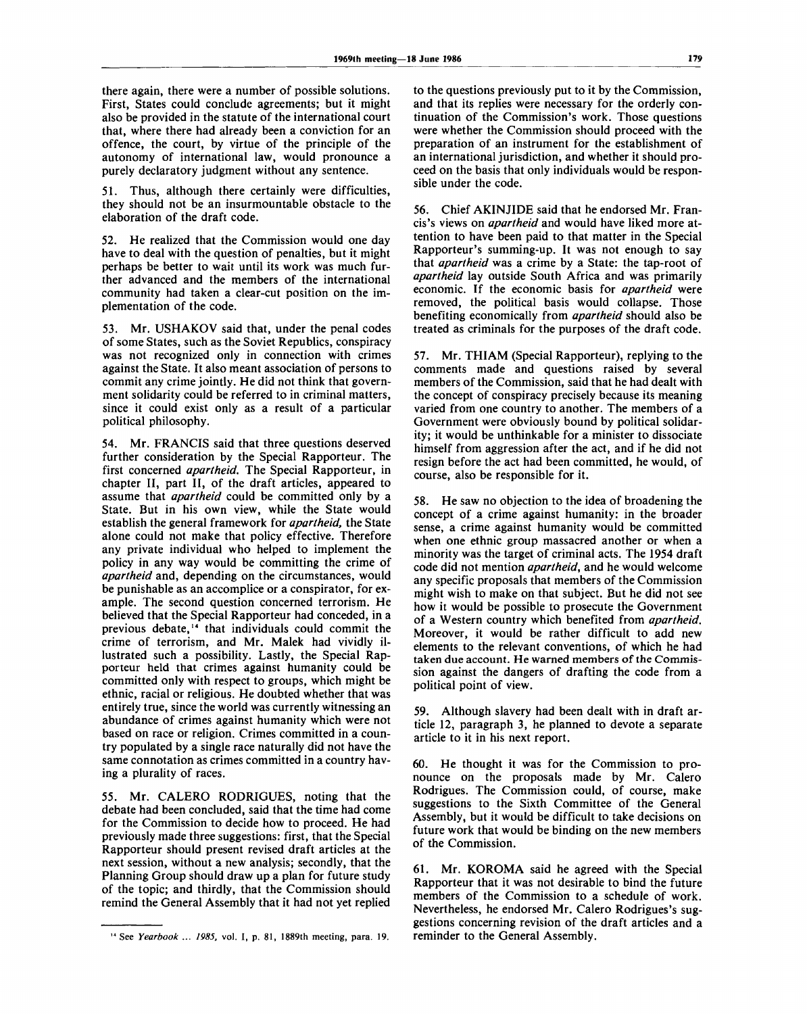there again, there were a number of possible solutions. First, States could conclude agreements; but it might also be provided in the statute of the international court that, where there had already been a conviction for an offence, the court, by virtue of the principle of the autonomy of international law, would pronounce a purely declaratory judgment without any sentence.

51. Thus, although there certainly were difficulties, they should not be an insurmountable obstacle to the elaboration of the draft code.

52. He realized that the Commission would one day have to deal with the question of penalties, but it might perhaps be better to wait until its work was much further advanced and the members of the international community had taken a clear-cut position on the implementation of the code.

53. Mr. USHAKOV said that, under the penal codes of some States, such as the Soviet Republics, conspiracy was not recognized only in connection with crimes against the State. It also meant association of persons to commit any crime jointly. He did not think that government solidarity could be referred to in criminal matters, since it could exist only as a result of a particular political philosophy.

54. Mr. FRANCIS said that three questions deserved further consideration by the Special Rapporteur. The first concerned *apartheid.* The Special Rapporteur, in chapter II, part II, of the draft articles, appeared to assume that *apartheid* could be committed only by a State. But in his own view, while the State would establish the general framework for *apartheid,* the State alone could not make that policy effective. Therefore any private individual who helped to implement the policy in any way would be committing the crime of *apartheid* and, depending on the circumstances, would be punishable as an accomplice or a conspirator, for example. The second question concerned terrorism. He believed that the Special Rapporteur had conceded, in a previous debate,<sup>14</sup> that individuals could commit the crime of terrorism, and Mr. Malek had vividly illustrated such a possibility. Lastly, the Special Rapporteur held that crimes against humanity could be committed only with respect to groups, which might be ethnic, racial or religious. He doubted whether that was entirely true, since the world was currently witnessing an abundance of crimes against humanity which were not based on race or religion. Crimes committed in a country populated by a single race naturally did not have the same connotation as crimes committed in a country having a plurality of races.

55. Mr. CALERO RODRIGUES, noting that the debate had been concluded, said that the time had come for the Commission to decide how to proceed. He had previously made three suggestions: first, that the Special Rapporteur should present revised draft articles at the next session, without a new analysis; secondly, that the Planning Group should draw up a plan for future study of the topic; and thirdly, that the Commission should remind the General Assembly that it had not yet replied

to the questions previously put to it by the Commission, and that its replies were necessary for the orderly continuation of the Commission's work. Those questions were whether the Commission should proceed with the preparation of an instrument for the establishment of an international jurisdiction, and whether it should proceed on the basis that only individuals would be responsible under the code.

56. Chief AKINJIDE said that he endorsed Mr. Francis's views on *apartheid* and would have liked more attention to have been paid to that matter in the Special Rapporteur's summing-up. It was not enough to say that *apartheid* was a crime by a State: the tap-root of *apartheid* lay outside South Africa and was primarily economic. If the economic basis for *apartheid* were removed, the political basis would collapse. Those benefiting economically from *apartheid* should also be treated as criminals for the purposes of the draft code.

57. Mr. THIAM (Special Rapporteur), replying to the comments made and questions raised by several members of the Commission, said that he had dealt with the concept of conspiracy precisely because its meaning varied from one country to another. The members of a Government were obviously bound by political solidarity; it would be unthinkable for a minister to dissociate himself from aggression after the act, and if he did not resign before the act had been committed, he would, of course, also be responsible for it.

58. He saw no objection to the idea of broadening the concept of a crime against humanity: in the broader sense, a crime against humanity would be committed when one ethnic group massacred another or when a minority was the target of criminal acts. The 1954 draft code did not mention *apartheid,* and he would welcome any specific proposals that members of the Commission might wish to make on that subject. But he did not see how it would be possible to prosecute the Government of a Western country which benefited from *apartheid.* Moreover, it would be rather difficult to add new elements to the relevant conventions, of which he had taken due account. He warned members of the Commission against the dangers of drafting the code from a political point of view.

59. Although slavery had been dealt with in draft article 12, paragraph 3, he planned to devote a separate article to it in his next report.

60. He thought it was for the Commission to pronounce on the proposals made by Mr. Calero Rodrigues. The Commission could, of course, make suggestions to the Sixth Committee of the General Assembly, but it would be difficult to take decisions on future work that would be binding on the new members of the Commission.

61. Mr. KOROMA said he agreed with the Special Rapporteur that it was not desirable to bind the future members of the Commission to a schedule of work. Nevertheless, he endorsed Mr. Calero Rodrigues's suggestions concerning revision of the draft articles and a reminder to the General Assembly.

<sup>14</sup> See *Yearbook ... 1985,* vol. I, p. 81, 1889th meeting, para. 19.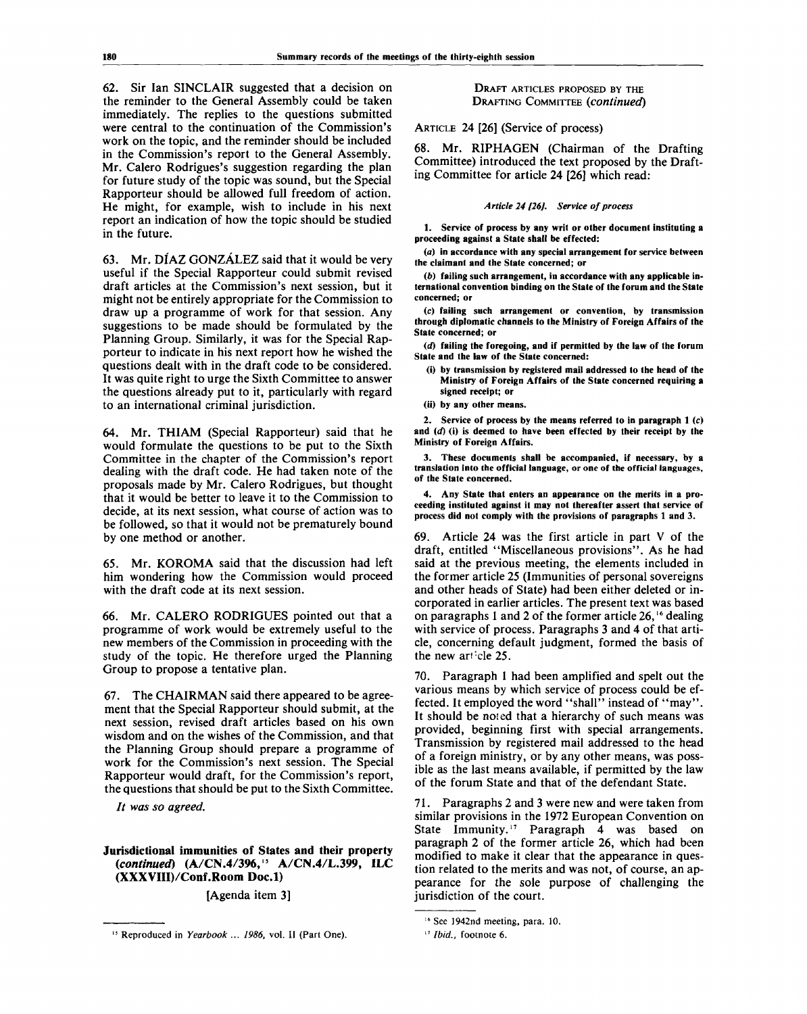62. Sir Ian SINCLAIR suggested that a decision on the reminder to the General Assembly could be taken immediately. The replies to the questions submitted were central to the continuation of the Commission's work on the topic, and the reminder should be included in the Commission's report to the General Assembly. Mr. Calero Rodrigues's suggestion regarding the plan for future study of the topic was sound, but the Special Rapporteur should be allowed full freedom of action. He might, for example, wish to include in his next report an indication of how the topic should be studied in the future.

63. Mr. DIAZ GONZALEZ said that it would be very useful if the Special Rapporteur could submit revised draft articles at the Commission's next session, but it might not be entirely appropriate for the Commission to draw up a programme of work for that session. Any suggestions to be made should be formulated by the Planning Group. Similarly, it was for the Special Rapporteur to indicate in his next report how he wished the questions dealt with in the draft code to be considered. It was quite right to urge the Sixth Committee to answer the questions already put to it, particularly with regard to an international criminal jurisdiction.

64. Mr. THIAM (Special Rapporteur) said that he would formulate the questions to be put to the Sixth Committee in the chapter of the Commission's report dealing with the draft code. He had taken note of the proposals made by Mr. Calero Rodrigues, but thought that it would be better to leave it to the Commission to decide, at its next session, what course of action was to be followed, so that it would not be prematurely bound by one method or another.

65. Mr. KOROMA said that the discussion had left him wondering how the Commission would proceed with the draft code at its next session.

66. Mr. CALERO RODRIGUES pointed out that a programme of work would be extremely useful to the new members of the Commission in proceeding with the study of the topic. He therefore urged the Planning Group to propose a tentative plan.

67. The CHAIRMAN said there appeared to be agreement that the Special Rapporteur should submit, at the next session, revised draft articles based on his own wisdom and on the wishes of the Commission, and that the Planning Group should prepare a programme of work for the Commission's next session. The Special Rapporteur would draft, for the Commission's report, the questions that should be put to the Sixth Committee.

*It was so agreed.*

# **Jurisdictional immunities of States and their property** *{continued)* **(A/CN.4/396,<sup>15</sup> A/CN.4/L.399, ILC (XXXVIID/Conf.Room Doc.l)**

[Agenda item 3]

DRAFT ARTICLES PROPOSED BY THE DRAFTING COMMITTEE *{continued)*

ARTICLE 24 [26] (Service of process)

68. Mr. RIPHAGEN (Chairman of the Drafting Committee) introduced the text proposed by the Drafting Committee for article 24 [26] which read:

#### *Article 24 [26]. Service of process*

**1. Service of process by any writ or other document instituting a proceeding against a State shall be effected:**

*(a)* **in accordance with any special arrangement for service between the claimant and the State concerned; or**

*(b)* **failing such arrangement, in accordance with any applicable international convention binding on the State of the forum and the State concerned; or**

**(c) failing such arrangement or convention, by transmission through diplomatic channels to the Ministry of Foreign Affairs of the State concerned; or**

(d) failing the foregoing, and if permitted by the law of the forum **State and the law of the State concerned:**

- **(i) by transmission by registered mail addressed to the head of the Ministry of Foreign Affairs of the State concerned requiring a signed receipt; or**
- **(ii) by any other means.**

**2. Service of process by the means referred to in paragraph 1 (c) and (d) (i) is deemed to have been effected by their receipt by the Ministry of Foreign Affairs.**

**3. These documents shall be accompanied, if necessary, by a translation into the official language, or one of the official languages, of the State concerned.**

**4. Any State that enters an appearance on the merits in a proceeding instituted against it may not thereafter assert that service of process did not comply with the provisions of paragraphs 1 and 3.**

69. Article 24 was the first article in part V of the draft, entitled "Miscellaneous provisions". As he had said at the previous meeting, the elements included in the former article 25 (Immunities of personal sovereigns and other heads of State) had been either deleted or incorporated in earlier articles. The present text was based on paragraphs 1 and 2 of the former article 26," dealing with service of process. Paragraphs 3 and 4 of that article, concerning default judgment, formed the basis of the new  $art<sup>1</sup>cele 25$ .

70. Paragraph 1 had been amplified and spelt out the various means by which service of process could be effected. It employed the word "shall" instead of "may". It should be noted that a hierarchy of such means was provided, beginning first with special arrangements. Transmission by registered mail addressed to the head of a foreign ministry, or by any other means, was possible as the last means available, if permitted by the law of the forum State and that of the defendant State.

71. Paragraphs 2 and 3 were new and were taken from similar provisions in the 1972 European Convention on State Immunity.<sup>17</sup> Paragraph 4 was based on paragraph 2 of the former article 26, which had been modified to make it clear that the appearance in question related to the merits and was not, of course, an appearance for the sole purpose of challenging the jurisdiction of the court.

**<sup>15</sup> Reproduced in** *Yearbook* **...** *1986,* **vol. II (Part One).**

**<sup>16</sup> See 1942nd meeting, para. 10.**

**<sup>17</sup>**  *Ibid.,* **footnote 6.**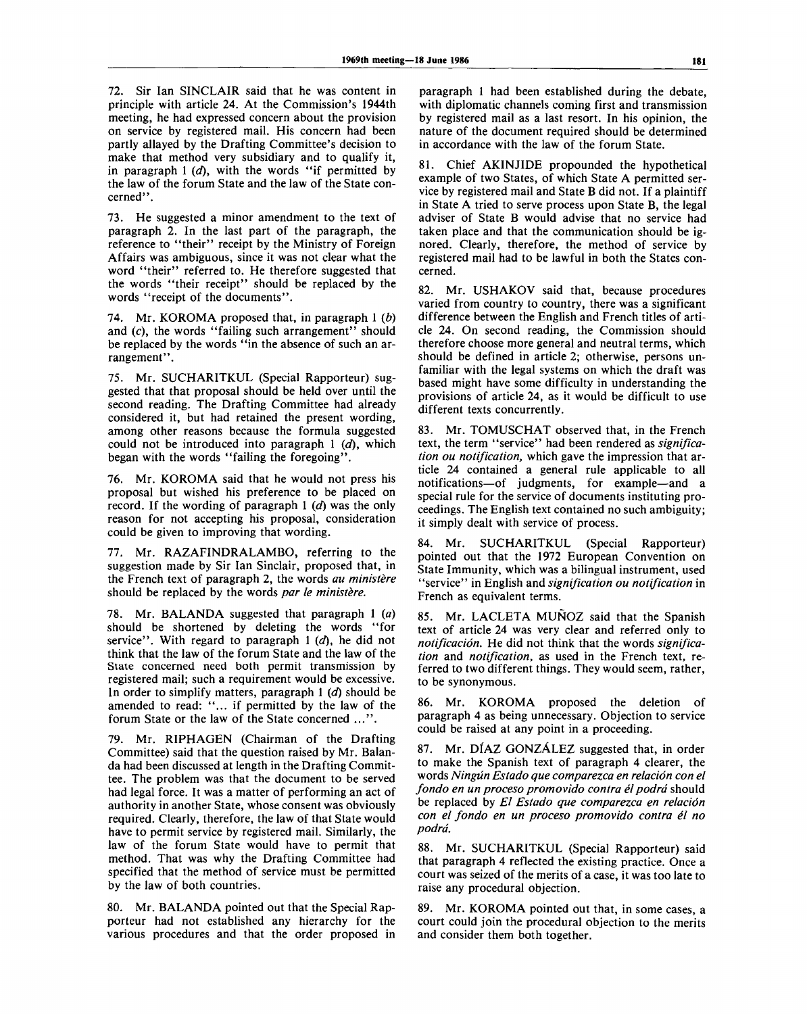72. Sir Ian SINCLAIR said that he was content in principle with article 24. At the Commission's 1944th meeting, he had expressed concern about the provision on service by registered mail. His concern had been partly allayed by the Drafting Committee's decision to make that method very subsidiary and to qualify it, in paragraph 1 *(d),* with the words "if permitted by the law of the forum State and the law of the State concerned".

73. He suggested a minor amendment to the text of paragraph 2. In the last part of the paragraph, the reference to "their" receipt by the Ministry of Foreign Affairs was ambiguous, since it was not clear what the word "their" referred to. He therefore suggested that the words "their receipt" should be replaced by the words "receipt of the documents".

74. Mr. KOROMA proposed that, in paragraph 1 *(b)* and (c), the words "failing such arrangement" should be replaced by the words "in the absence of such an arrangement".

Mr. SUCHARITKUL (Special Rapporteur) suggested that that proposal should be held over until the second reading. The Drafting Committee had already considered it, but had retained the present wording, among other reasons because the formula suggested could not be introduced into paragraph 1 *(d),* which began with the words "failing the foregoing".

76. Mr. KOROMA said that he would not press his proposal but wished his preference to be placed on record. If the wording of paragraph 1 *(d)* was the only reason for not accepting his proposal, consideration could be given to improving that wording.

77. Mr. RAZAFINDRALAMBO, referring to the suggestion made by Sir Ian Sinclair, proposed that, in the French text of paragraph 2, the words *au ministere* should be replaced by the words *par le ministere.*

78. Mr. BALANDA suggested that paragraph 1 *(a)* should be shortened by deleting the words "for service". With regard to paragraph 1 *(d),* he did not think that the law of the forum State and the law of the State concerned need both permit transmission by registered mail; such a requirement would be excessive. In order to simplify matters, paragraph 1 *(d)* should be amended to read: "... if permitted by the law of the forum State or the law of the State concerned ...".

79. Mr. RIPHAGEN (Chairman of the Drafting Committee) said that the question raised by Mr. Balanda had been discussed at length in the Drafting Committee. The problem was that the document to be served had legal force. It was a matter of performing an act of authority in another State, whose consent was obviously required. Clearly, therefore, the law of that State would have to permit service by registered mail. Similarly, the law of the forum State would have to permit that method. That was why the Drafting Committee had specified that the method of service must be permitted by the law of both countries.

80. Mr. BALANDA pointed out that the Special Rapporteur had not established any hierarchy for the various procedures and that the order proposed in paragraph 1 had been established during the debate, with diplomatic channels coming first and transmission by registered mail as a last resort. In his opinion, the nature of the document required should be determined in accordance with the law of the forum State.

81. Chief AKINJIDE propounded the hypothetical example of two States, of which State A permitted service by registered mail and State B did not. If a plaintiff in State A tried to serve process upon State B, the legal adviser of State B would advise that no service had taken place and that the communication should be ignored. Clearly, therefore, the method of service by registered mail had to be lawful in both the States concerned.

82. Mr. USHAKOV said that, because procedures varied from country to country, there was a significant difference between the English and French titles of article 24. On second reading, the Commission should therefore choose more general and neutral terms, which should be defined in article 2; otherwise, persons unfamiliar with the legal systems on which the draft was based might have some difficulty in understanding the provisions of article 24, as it would be difficult to use different texts concurrently.

83. Mr. TOMUSCHAT observed that, in the French text, the term "service" had been rendered as *signification ou notification,* which gave the impression that article 24 contained a general rule applicable to all notifications—of judgments, for example—and a special rule for the service of documents instituting proceedings. The English text contained no such ambiguity; it simply dealt with service of process.

84. Mr. SUCHARITKUL (Special Rapporteur) pointed out that the 1972 European Convention on State Immunity, which was a bilingual instrument, used "service" in English and *signification ou notification* in French as equivalent terms.

85. Mr. LACLETA MUNOZ said that the Spanish text of article 24 was very clear and referred only to *notificacion.* He did not think that the words *signification* and *notification,* as used in the French text, referred to two different things. They would seem, rather, to be synonymous.

86. Mr. KOROMA proposed the deletion of paragraph 4 as being unnecessary. Objection to service could be raised at any point in a proceeding.

87. Mr. DIAZ GONZALEZ suggested that, in order to make the Spanish text of paragraph 4 clearer, the words *Ningiin Estado que comparezca en relacion con el fondo en un proceso promovido contra el podrd* should be replaced by *El Estado que comparezca en relacion con el fondo en un proceso promovido contra el no podrd.*

88. Mr. SUCHARITKUL (Special Rapporteur) said that paragraph 4 reflected the existing practice. Once a court was seized of the merits of a case, it was too late to raise any procedural objection.

89. Mr. KOROMA pointed out that, in some cases, a court could join the procedural objection to the merits and consider them both together.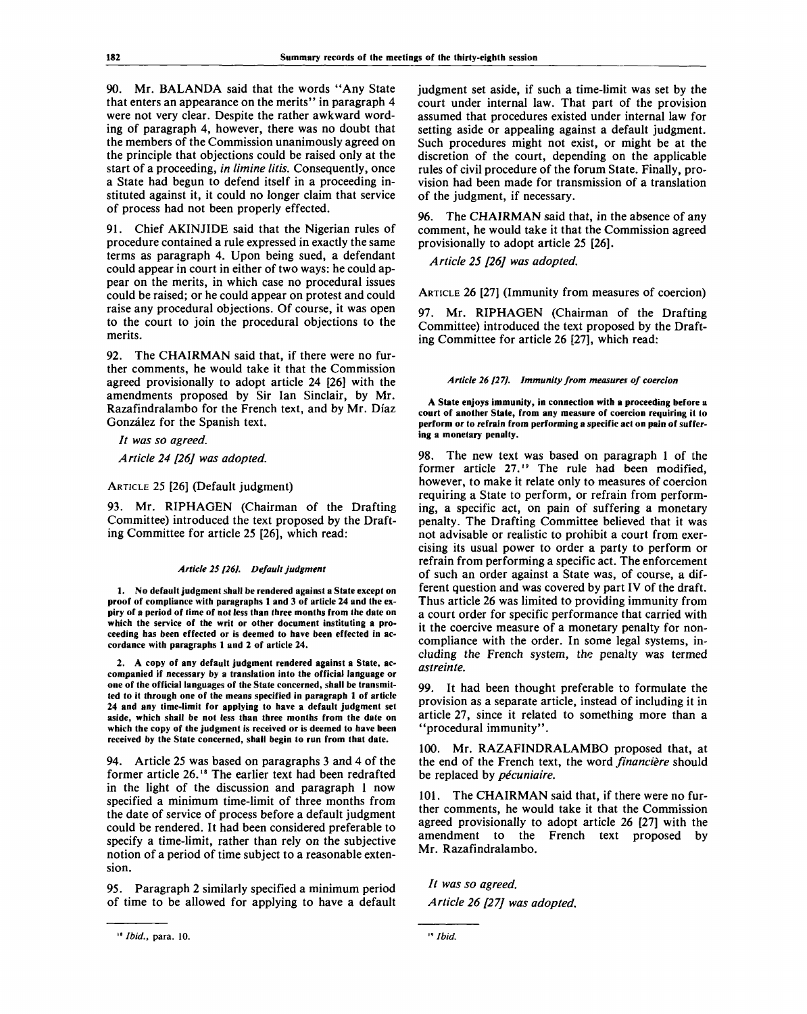90. Mr. BALANDA said that the words "Any State that enters an appearance on the merits" in paragraph 4 were not very clear. Despite the rather awkward wording of paragraph 4, however, there was no doubt that the members of the Commission unanimously agreed on the principle that objections could be raised only at the start of a proceeding, *in limine lids.* Consequently, once a State had begun to defend itself in a proceeding instituted against it, it could no longer claim that service of process had not been properly effected.

91. Chief AKINJIDE said that the Nigerian rules of procedure contained a rule expressed in exactly the same terms as paragraph 4. Upon being sued, a defendant could appear in court in either of two ways: he could appear on the merits, in which case no procedural issues could be raised; or he could appear on protest and could raise any procedural objections. Of course, it was open to the court to join the procedural objections to the merits.

92. The CHAIRMAN said that, if there were no further comments, he would take it that the Commission agreed provisionally to adopt article 24 [26] with the amendments proposed by Sir Ian Sinclair, by Mr. Razafindralambo for the French text, and by Mr. Diaz Gonzalez for the Spanish text.

// *was so agreed. Article 24 [26] was adopted.*

#### ARTICLE 25 [26] (Default judgment)

93. Mr. RIPHAGEN (Chairman of the Drafting Committee) introduced the text proposed by the Drafting Committee for article 25 [26], which read:

#### *A rticle 25 [261. Default judgment*

**1. No default judgment shall be rendered against a State except on proof of compliance with paragraphs 1 and 3 of article 24 and the expiry of a period of time of not less than three months from the date on which the service of the writ or other document instituting a proceeding has been effected or is deemed to have been effected in accordance with paragraphs 1 and 2 of article 24.**

**2. A copy of any default judgment rendered against a State, accompanied if necessary by a translation into the official language or one of the official languages of the State concerned, shall be transmitted to it through one of the means specified in paragraph 1 of article 24 and any time-limit for applying to have a default judgment set aside, which shall be not less than three months from the date on which the copy of the judgment is received or is deemed to have been received by the State concerned, shall begin to run from that date.**

94. Article 25 was based on paragraphs 3 and 4 of the former article 26.<sup>18</sup> The earlier text had been redrafted in the light of the discussion and paragraph 1 now specified a minimum time-limit of three months from the date of service of process before a default judgment could be rendered. It had been considered preferable to specify a time-limit, rather than rely on the subjective notion of a period of time subject to a reasonable extension.

95. Paragraph 2 similarly specified a minimum period of time to be allowed for applying to have a default judgment set aside, if such a time-limit was set by the court under internal law. That part of the provision assumed that procedures existed under internal law for setting aside or appealing against a default judgment. Such procedures might not exist, or might be at the discretion of the court, depending on the applicable rules of civil procedure of the forum State. Finally, provision had been made for transmission of a translation of the judgment, if necessary.

The CHAIRMAN said that, in the absence of any comment, he would take it that the Commission agreed provisionally to adopt article 25 [26].

*Article 25 [26] was adopted.*

ARTICLE 26 [27] (Immunity from measures of coercion)

97. Mr. RIPHAGEN (Chairman of the Drafting Committee) introduced the text proposed by the Drafting Committee for article 26 [27], which read:

#### *Article 26127]. Immunity from measures of coercion*

**A State enjoys immunity, in connection with a proceeding before a court of another State, from any measure of coercion requiring it to perform or to refrain from performing a specific act on pain of suffering a monetary penalty.**

98. The new text was based on paragraph 1 of the former article 27." The rule had been modified, however, to make it relate only to measures of coercion requiring a State to perform, or refrain from performing, a specific act, on pain of suffering a monetary penalty. The Drafting Committee believed that it was not advisable or realistic to prohibit a court from exercising its usual power to order a party to perform or refrain from performing a specific act. The enforcement of such an order against a State was, of course, a different question and was covered by part IV of the draft. Thus article 26 was limited to providing immunity from a court order for specific performance that carried with it the coercive measure of a monetary penalty for noncompliance with the order. In some legal systems, including the French system, the penalty was termed *astreinte.*

99. It had been thought preferable to formulate the provision as a separate article, instead of including it in article 27, since it related to something more than a "procedural immunity".

100. Mr. RAZAFINDRALAMBO proposed that, at the end of the French text, the word *financiere* should be replaced by *pecuniaire.*

101. The CHAIRMAN said that, if there were no further comments, he would take it that the Commission agreed provisionally to adopt article 26 [27] with the amendment to the French text proposed by Mr. Razafindralambo.

// *was so agreed. Article 26 [27] was adopted.*

**<sup>18</sup>**  *Ibid.,* **para. 10.** *Ibid.*